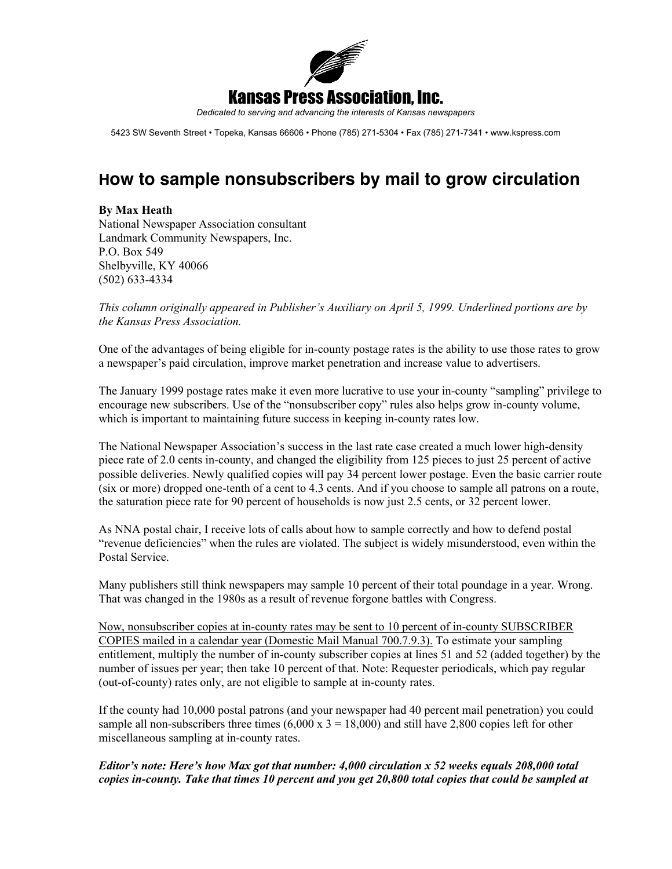

*Dedicated to serving and advancing the interests of Kansas newspapers*

5423 SW Seventh Street • Topeka, Kansas 66606 • Phone (785) 271-5304 • Fax (785) 271-7341 • www.kspress.com

## **How to sample nonsubscribers by mail to grow circulation**

## By Max Heath

National Newspaper Association consultant Landmark Community Newspapers, Inc. P.O. Box 549 Shelbyville, KY 40066 (502) 633-4334

*This column originally appeared in Publisher's Auxiliary on April 5, 1999. Underlined portions are by the Kansas Press Association.*

One of the advantages of being eligible for in-county postage rates is the ability to use those rates to grow a newspaper's paid circulation, improve market penetration and increase value to advertisers.

The January 1999 postage rates make it even more lucrative to use your in-county "sampling" privilege to encourage new subscribers. Use of the "nonsubscriber copy" rules also helps grow in-county volume, which is important to maintaining future success in keeping in-county rates low.

The National Newspaper Association's success in the last rate case created a much lower high-density piece rate of 2.0 cents in-county, and changed the eligibility from 125 pieces to just 25 percent of active possible deliveries. Newly qualified copies will pay 34 percent lower postage. Even the basic carrier route (six or more) dropped one-tenth of a cent to 4.3 cents. And if you choose to sample all patrons on a route, the saturation piece rate for 90 percent of households is now just 2.5 cents, or 32 percent lower.

As NNA postal chair, I receive lots of calls about how to sample correctly and how to defend postal "revenue deficiencies" when the rules are violated. The subject is widely misunderstood, even within the Postal Service.

Many publishers still think newspapers may sample 10 percent of their total poundage in a year. Wrong. That was changed in the 1980s as a result of revenue forgone battles with Congress.

Now, nonsubscriber copies at in-county rates may be sent to 10 percent of in-county SUBSCRIBER COPIES mailed in a calendar year (Domestic Mail Manual 700.7.9.3). To estimate your sampling entitlement, multiply the number of in-county subscriber copies at lines 51 and 52 (added together) by the number of issues per year; then take 10 percent of that. Note: Requester periodicals, which pay regular (out-of-county) rates only, are not eligible to sample at in-county rates.

If the county had 10,000 postal patrons (and your newspaper had 40 percent mail penetration) you could sample all non-subscribers three times  $(6,000 \times 3 = 18,000)$  and still have 2,800 copies left for other miscellaneous sampling at in-county rates.

## *Editor's note: Here's how Max got that number: 4,000 circulation x 52 weeks equals 208,000 total copies in-county. Take that times 10 percent and you get 20,800 total copies that could be sampled at*